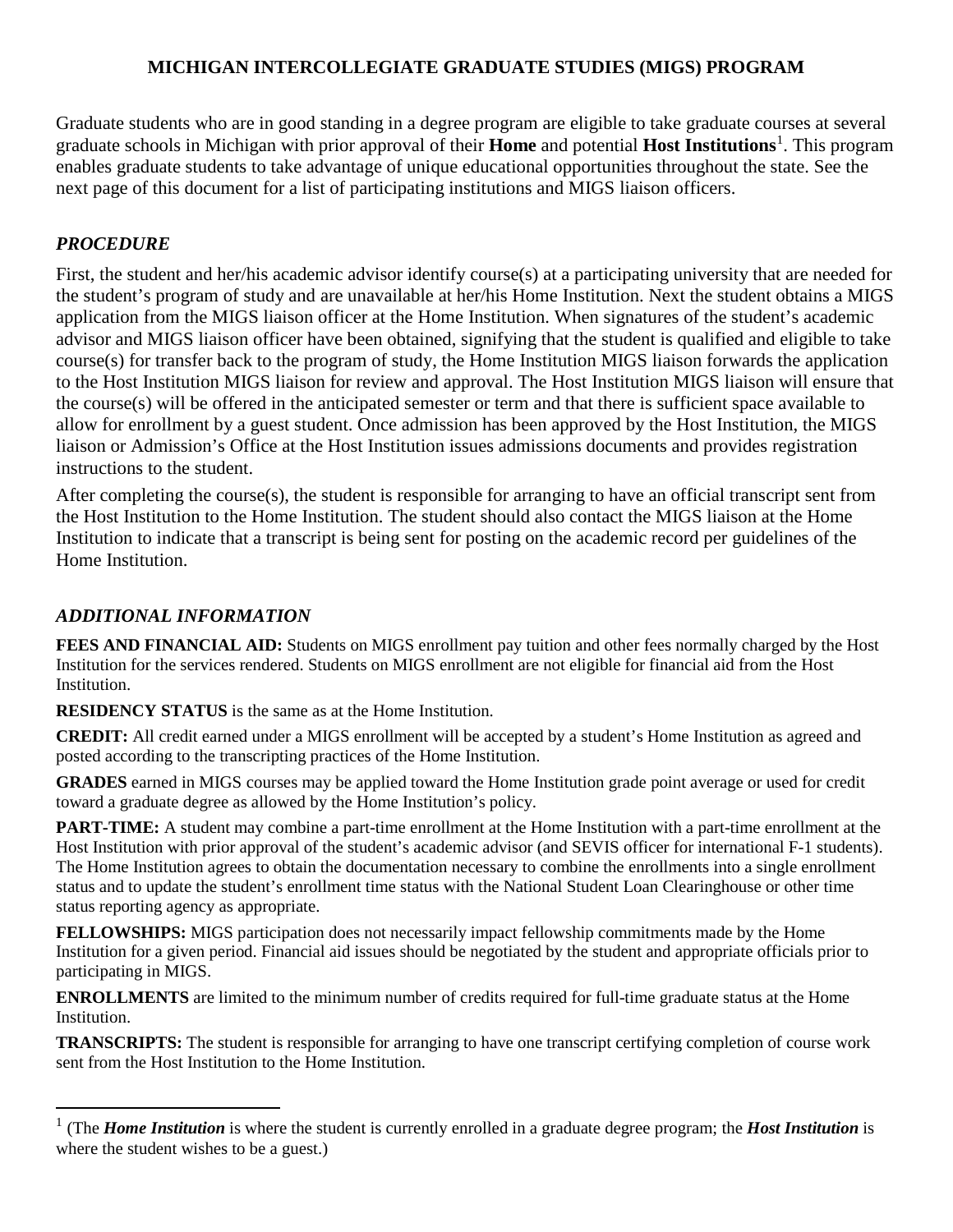# **MICHIGAN INTERCOLLEGIATE GRADUATE STUDIES (MIGS) PROGRAM**

Graduate students who are in good standing in a degree program are eligible to take graduate courses at several graduate schools in Michigan with prior approval of their **Home** and potential **Host Institutions**[1](#page-0-0) . This program enables graduate students to take advantage of unique educational opportunities throughout the state. See the next page of this document for a list of participating institutions and MIGS liaison officers.

# *PROCEDURE*

First, the student and her/his academic advisor identify course(s) at a participating university that are needed for the student's program of study and are unavailable at her/his Home Institution. Next the student obtains a MIGS application from the MIGS liaison officer at the Home Institution. When signatures of the student's academic advisor and MIGS liaison officer have been obtained, signifying that the student is qualified and eligible to take course(s) for transfer back to the program of study, the Home Institution MIGS liaison forwards the application to the Host Institution MIGS liaison for review and approval. The Host Institution MIGS liaison will ensure that the course(s) will be offered in the anticipated semester or term and that there is sufficient space available to allow for enrollment by a guest student. Once admission has been approved by the Host Institution, the MIGS liaison or Admission's Office at the Host Institution issues admissions documents and provides registration instructions to the student.

After completing the course(s), the student is responsible for arranging to have an official transcript sent from the Host Institution to the Home Institution. The student should also contact the MIGS liaison at the Home Institution to indicate that a transcript is being sent for posting on the academic record per guidelines of the Home Institution.

## *ADDITIONAL INFORMATION*

**FEES AND FINANCIAL AID:** Students on MIGS enrollment pay tuition and other fees normally charged by the Host Institution for the services rendered. Students on MIGS enrollment are not eligible for financial aid from the Host Institution.

**RESIDENCY STATUS** is the same as at the Home Institution.

**CREDIT:** All credit earned under a MIGS enrollment will be accepted by a student's Home Institution as agreed and posted according to the transcripting practices of the Home Institution.

**GRADES** earned in MIGS courses may be applied toward the Home Institution grade point average or used for credit toward a graduate degree as allowed by the Home Institution's policy.

**PART-TIME:** A student may combine a part-time enrollment at the Home Institution with a part-time enrollment at the Host Institution with prior approval of the student's academic advisor (and SEVIS officer for international F-1 students). The Home Institution agrees to obtain the documentation necessary to combine the enrollments into a single enrollment status and to update the student's enrollment time status with the National Student Loan Clearinghouse or other time status reporting agency as appropriate.

**FELLOWSHIPS:** MIGS participation does not necessarily impact fellowship commitments made by the Home Institution for a given period. Financial aid issues should be negotiated by the student and appropriate officials prior to participating in MIGS.

**ENROLLMENTS** are limited to the minimum number of credits required for full-time graduate status at the Home Institution.

**TRANSCRIPTS:** The student is responsible for arranging to have one transcript certifying completion of course work sent from the Host Institution to the Home Institution.

<span id="page-0-0"></span><sup>1</sup> (The *Home Institution* is where the student is currently enrolled in a graduate degree program; the *Host Institution* is where the student wishes to be a guest.)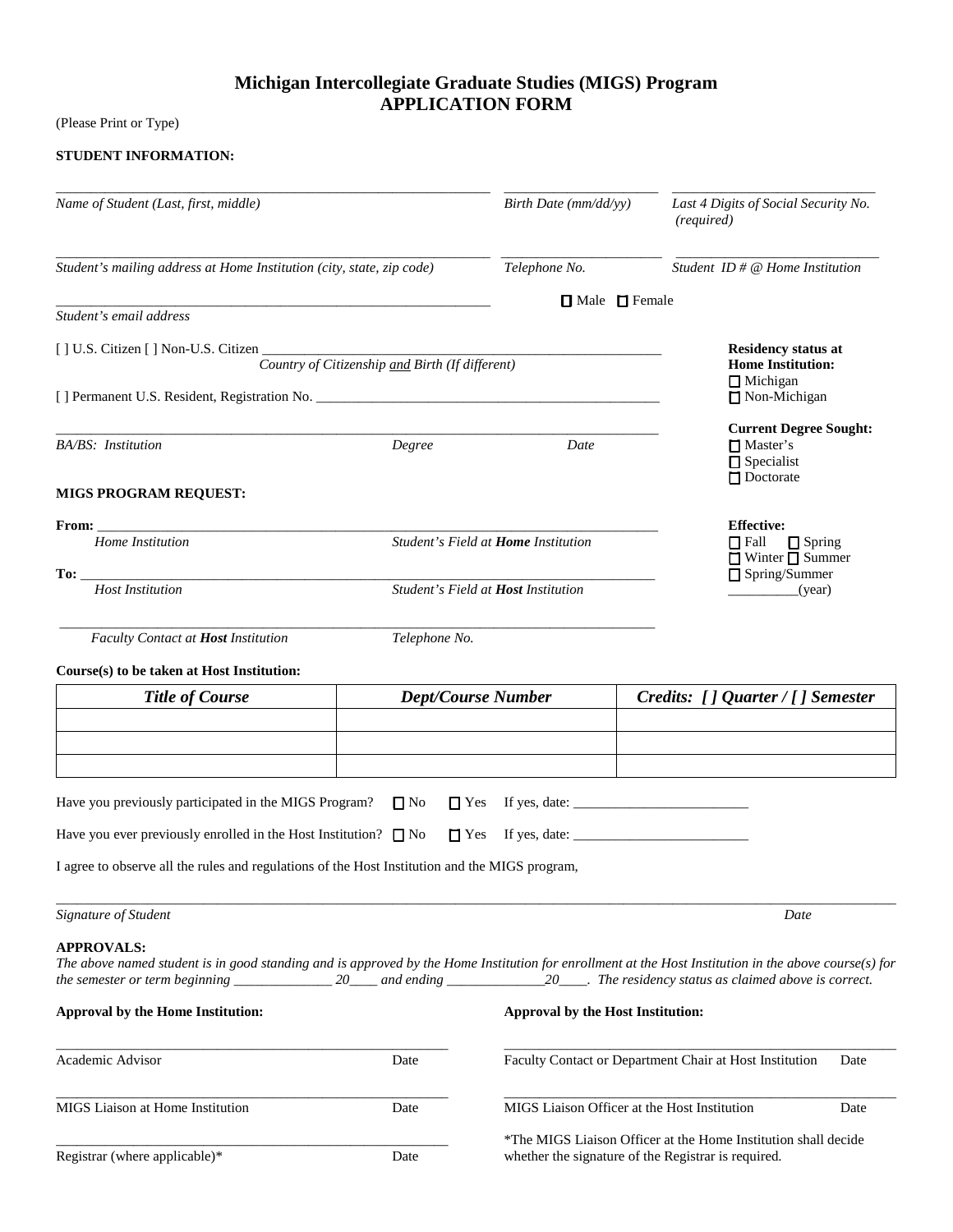## **Michigan Intercollegiate Graduate Studies (MIGS) Program APPLICATION FORM**

(Please Print or Type)

## **STUDENT INFORMATION:**

| Name of Student (Last, first, middle)                                                                                                                                                                                                                                                                                       |                                                 | Birth Date (mm/dd/yy)                                                                                                 | Last 4 Digits of Social Security No.<br>(required)                                        |
|-----------------------------------------------------------------------------------------------------------------------------------------------------------------------------------------------------------------------------------------------------------------------------------------------------------------------------|-------------------------------------------------|-----------------------------------------------------------------------------------------------------------------------|-------------------------------------------------------------------------------------------|
| Student's mailing address at Home Institution (city, state, zip code)                                                                                                                                                                                                                                                       |                                                 | Telephone No.                                                                                                         | Student ID $# \mathcal{Q}$ Home Institution                                               |
|                                                                                                                                                                                                                                                                                                                             |                                                 | $\Box$ Male $\Box$ Female                                                                                             |                                                                                           |
| Student's email address                                                                                                                                                                                                                                                                                                     |                                                 |                                                                                                                       |                                                                                           |
| [ ] U.S. Citizen [ ] Non-U.S. Citizen _                                                                                                                                                                                                                                                                                     |                                                 |                                                                                                                       | <b>Residency status at</b>                                                                |
|                                                                                                                                                                                                                                                                                                                             | Country of Citizenship and Birth (If different) |                                                                                                                       | <b>Home Institution:</b>                                                                  |
|                                                                                                                                                                                                                                                                                                                             | $\Box$ Michigan<br>□ Non-Michigan               |                                                                                                                       |                                                                                           |
|                                                                                                                                                                                                                                                                                                                             |                                                 |                                                                                                                       |                                                                                           |
| <b>BA/BS</b> : Institution                                                                                                                                                                                                                                                                                                  | Degree                                          | Date                                                                                                                  | <b>Current Degree Sought:</b><br>$\Box$ Master's<br>$\Box$ Specialist<br>$\Box$ Doctorate |
| <b>MIGS PROGRAM REQUEST:</b>                                                                                                                                                                                                                                                                                                |                                                 |                                                                                                                       |                                                                                           |
|                                                                                                                                                                                                                                                                                                                             |                                                 |                                                                                                                       | <b>Effective:</b>                                                                         |
| Home Institution                                                                                                                                                                                                                                                                                                            |                                                 | Student's Field at <b>Home</b> Institution                                                                            | $\Box$ Fall<br>$\Box$ Spring<br>$\Box$ Winter $\Box$ Summer                               |
| <b>Host Institution</b>                                                                                                                                                                                                                                                                                                     | Student's Field at Host Institution             |                                                                                                                       | $\Box$ Spring/Summer<br>(year)                                                            |
|                                                                                                                                                                                                                                                                                                                             |                                                 |                                                                                                                       |                                                                                           |
| Faculty Contact at Host Institution                                                                                                                                                                                                                                                                                         | Telephone No.                                   |                                                                                                                       |                                                                                           |
| Course(s) to be taken at Host Institution:                                                                                                                                                                                                                                                                                  |                                                 |                                                                                                                       |                                                                                           |
| <b>Title of Course</b>                                                                                                                                                                                                                                                                                                      |                                                 | <b>Dept/Course Number</b>                                                                                             | Credits: [] Quarter / [] Semester                                                         |
|                                                                                                                                                                                                                                                                                                                             |                                                 |                                                                                                                       |                                                                                           |
|                                                                                                                                                                                                                                                                                                                             |                                                 |                                                                                                                       |                                                                                           |
|                                                                                                                                                                                                                                                                                                                             |                                                 |                                                                                                                       |                                                                                           |
| Have you previously participated in the MIGS Program?                                                                                                                                                                                                                                                                       | $\Box$ No<br>$\Box$ Yes                         | If yes, date: $\frac{1}{\sqrt{1-\frac{1}{2}} \cdot \frac{1}{2}}$                                                      |                                                                                           |
| Have you ever previously enrolled in the Host Institution? $\Box$ No                                                                                                                                                                                                                                                        |                                                 |                                                                                                                       |                                                                                           |
| I agree to observe all the rules and regulations of the Host Institution and the MIGS program,                                                                                                                                                                                                                              |                                                 |                                                                                                                       |                                                                                           |
|                                                                                                                                                                                                                                                                                                                             |                                                 |                                                                                                                       |                                                                                           |
| Signature of Student                                                                                                                                                                                                                                                                                                        |                                                 |                                                                                                                       | Date                                                                                      |
| <b>APPROVALS:</b><br>The above named student is in good standing and is approved by the Home Institution for enrollment at the Host Institution in the above course(s) for<br>the semester or term beginning $\_\_\_\_$ 20 $\_\_\_$ and ending $\_\_\_\_$ 20 $\_\_\_\_$ . The residency status as claimed above is correct. |                                                 |                                                                                                                       |                                                                                           |
| <b>Approval by the Home Institution:</b>                                                                                                                                                                                                                                                                                    |                                                 | Approval by the Host Institution:                                                                                     |                                                                                           |
| Academic Advisor                                                                                                                                                                                                                                                                                                            | Date                                            | Faculty Contact or Department Chair at Host Institution<br>Date                                                       |                                                                                           |
| MIGS Liaison at Home Institution                                                                                                                                                                                                                                                                                            | Date                                            | MIGS Liaison Officer at the Host Institution                                                                          | Date                                                                                      |
| Registrar (where applicable)*                                                                                                                                                                                                                                                                                               | Date                                            | *The MIGS Liaison Officer at the Home Institution shall decide<br>whether the signature of the Registrar is required. |                                                                                           |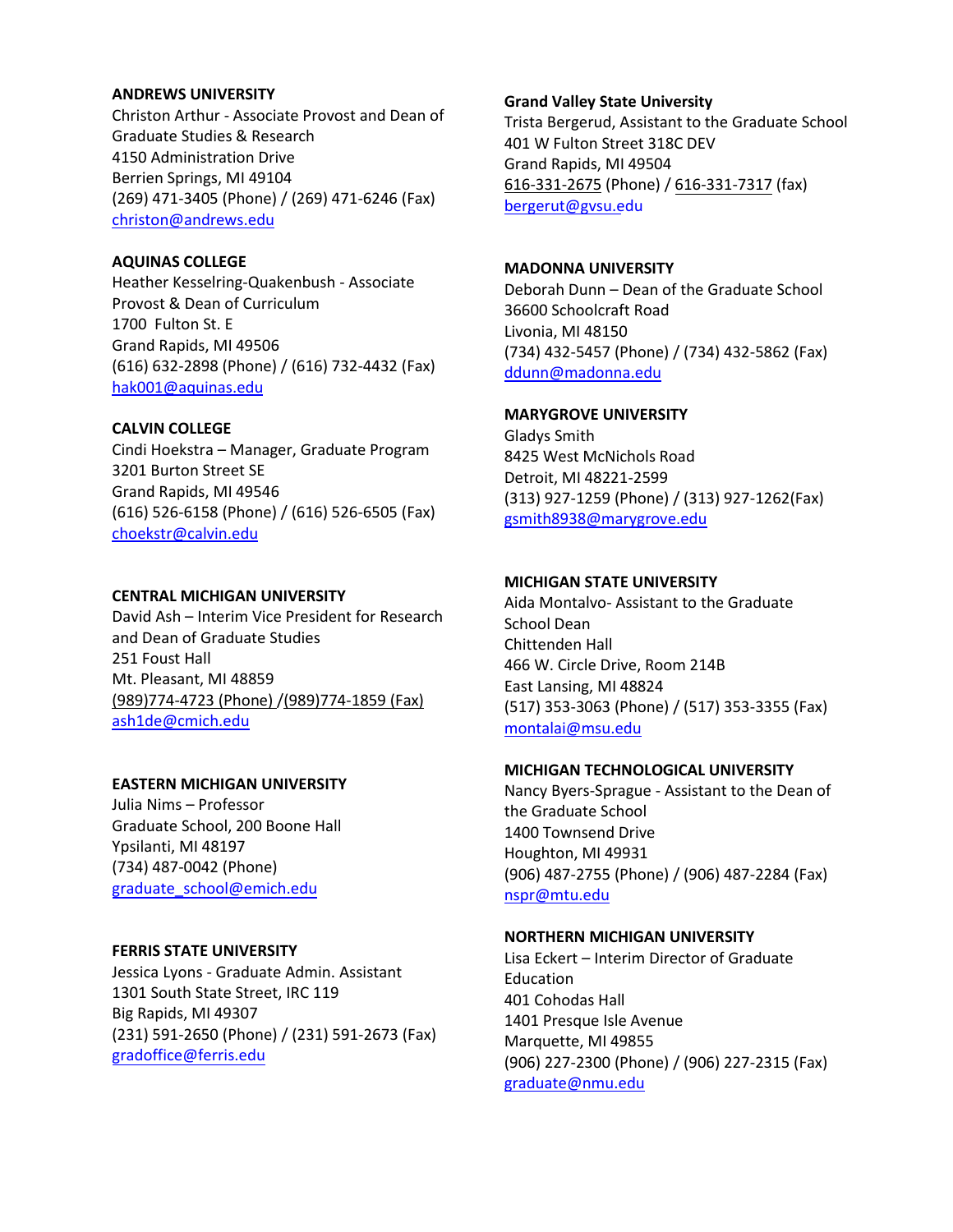#### **ANDREWS UNIVERSITY**

Christon Arthur - Associate Provost and Dean of Graduate Studies & Research 4150 Administration Drive Berrien Springs, MI 49104 (269) 471-3405 (Phone) / (269) 471-6246 (Fax) [christon@andrews.edu](mailto:christon@andrews.edu)

### **AQUINAS COLLEGE**

Heather Kesselring-Quakenbush - Associate Provost & Dean of Curriculum 1700 Fulton St. E Grand Rapids, MI 49506 (616) 632-2898 (Phone) / (616) 732-4432 (Fax) [hak001@aquinas.edu](mailto:hak001@aquinas.edu)

### **CALVIN COLLEGE**

Cindi Hoekstra – Manager, Graduate Program 3201 Burton Street SE Grand Rapids, MI 49546 (616) 526-6158 (Phone) / (616) 526-6505 (Fax) [choekstr@calvin.edu](mailto:choekstr@calvin.edu)

### **CENTRAL MICHIGAN UNIVERSITY**

David Ash – Interim Vice President for Research and Dean of Graduate Studies 251 Foust Hall Mt. Pleasant, MI 48859 [\(989\)774-4723](tel:%28989%29774-4723) (Phone) [/\(989\)774-1859](tel:%28989%29774-1859) (Fax) [ash1de@cmich.edu](mailto:Ash1de@cmich.edu)

### **EASTERN MICHIGAN UNIVERSITY**

Julia Nims – Professor Graduate School, 200 Boone Hall Ypsilanti, MI 48197 (734) 487-0042 (Phone) graduate\_school@emich.edu

### **FERRIS STATE UNIVERSITY**

Jessica Lyons - Graduate Admin. Assistant 1301 South State Street, IRC 119 Big Rapids, MI 49307 (231) 591-2650 (Phone) / (231) 591-2673 (Fax) gradoffice@ferris.edu

### **Grand Valley State University**

Trista Bergerud, Assistant to the Graduate School 401 W Fulton Street 318C DEV Grand Rapids, MI 49504 616-[331-2](tel:616-331-7105)675 (Phone) / [616-331-7317](tel:616-331-7317) (fax) [bergerut@gvsu.e](mailto:palmj@gvsu.edu)du

### **MADONNA UNIVERSITY**

Deborah Dunn – Dean of the Graduate School 36600 Schoolcraft Road Livonia, MI 48150 (734) 432-5457 (Phone) / (734) 432-5862 (Fax) [ddunn@madonna.edu](mailto:ddunn@madonna.edu)

### **MARYGROVE UNIVERSITY**

Gladys Smith 8425 West McNichols Road Detroit, MI 48221-2599 (313) 927-1259 (Phone) / (313) 927-1262(Fax) [gsmith8938@marygrove.edu](mailto:gsmith8938@marygrove.edu)

### **MICHIGAN STATE UNIVERSITY**

Aida Montalvo- Assistant to the Graduate School Dean Chittenden Hall 466 W. Circle Drive, Room 214B East Lansing, MI 48824 (517) 353-3063 (Phone) / (517) 353-3355 (Fax) [montalai@msu.edu](mailto:montalai@msu.edu)

#### **MICHIGAN TECHNOLOGICAL UNIVERSITY**

Nancy Byers-Sprague - Assistant to the Dean of the Graduate School 1400 Townsend Drive Houghton, MI 49931 (906) 487-2755 (Phone) / (906) 487-2284 (Fax) [nspr@mtu.edu](mailto:nspr@mtu.edu)

### **NORTHERN MICHIGAN UNIVERSITY**

Lisa Eckert – Interim Director of Graduate Education 401 Cohodas Hall 1401 Presque Isle Avenue Marquette, MI 49855 (906) 227-2300 (Phone) / (906) 227-2315 (Fax) [graduate@nmu.edu](mailto:graduate@nmu.edu)